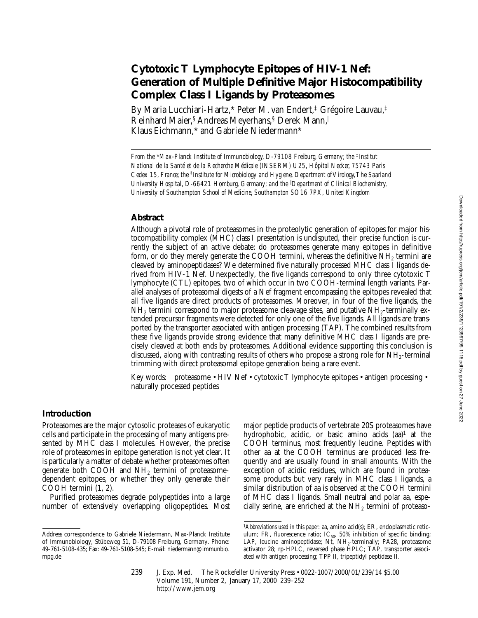# **Cytotoxic T Lymphocyte Epitopes of HIV-1 Nef: Generation of Multiple Definitive Major Histocompatibility Complex Class I Ligands by Proteasomes**

By Maria Lucchiari-Hartz,\* Peter M. van Endert,‡ Grégoire Lauvau,‡ Reinhard Maier,<sup>§</sup> Andreas Meyerhans,<sup>§</sup> Derek Mann, Klaus Eichmann,\* and Gabriele Niedermann\*

*From the \*Max-Planck Institute of Immunobiology, D-79108 Freiburg, Germany; the <sup>‡</sup><i>Institut National de la Santé et de la Recherche Médicale (INSERM) U25, Hôpital Necker, 75743 Paris Cedex 15, France; the* §*Institute for Microbiology and Hygiene, Department of Virology, The Saarland University Hospital, D-66421 Homburg, Germany; and the* <sup>i</sup> *Department of Clinical Biochemistry, University of Southampton School of Medicine, Southampton SO16 7PX, United Kingdom*

## **Abstract**

Although a pivotal role of proteasomes in the proteolytic generation of epitopes for major histocompatibility complex (MHC) class I presentation is undisputed, their precise function is currently the subject of an active debate: do proteasomes generate many epitopes in definitive form, or do they merely generate the COOH termini, whereas the definitive NH2 termini are cleaved by aminopeptidases? We determined five naturally processed MHC class I ligands derived from HIV-1 Nef. Unexpectedly, the five ligands correspond to only three cytotoxic T lymphocyte (CTL) epitopes, two of which occur in two COOH-terminal length variants. Parallel analyses of proteasomal digests of a Nef fragment encompassing the epitopes revealed that all five ligands are direct products of proteasomes. Moreover, in four of the five ligands, the  $NH<sub>2</sub>$  termini correspond to major proteasome cleavage sites, and putative  $NH<sub>2</sub>$ -terminally extended precursor fragments were detected for only one of the five ligands. All ligands are transported by the transporter associated with antigen processing (TAP). The combined results from these five ligands provide strong evidence that many definitive MHC class I ligands are precisely cleaved at both ends by proteasomes. Additional evidence supporting this conclusion is discussed, along with contrasting results of others who propose a strong role for  $NH<sub>2</sub>$ -terminal trimming with direct proteasomal epitope generation being a rare event.

Key words: proteasome • HIV Nef • cytotoxic T lymphocyte epitopes • antigen processing • naturally processed peptides

## **Introduction**

Proteasomes are the major cytosolic proteases of eukaryotic cells and participate in the processing of many antigens presented by MHC class I molecules. However, the precise role of proteasomes in epitope generation is not yet clear. It is particularly a matter of debate whether proteasomes often generate both COOH and  $NH<sub>2</sub>$  termini of proteasomedependent epitopes, or whether they only generate their COOH termini (1, 2).

Purified proteasomes degrade polypeptides into a large number of extensively overlapping oligopeptides. Most major peptide products of vertebrate 20S proteasomes have hydrophobic, acidic, or basic amino acids  $(aa)^1$  at the COOH terminus, most frequently leucine. Peptides with other aa at the COOH terminus are produced less frequently and are usually found in small amounts. With the exception of acidic residues, which are found in proteasome products but very rarely in MHC class I ligands, a similar distribution of aa is observed at the COOH termini of MHC class I ligands. Small neutral and polar aa, especially serine, are enriched at the  $NH<sub>2</sub>$  termini of proteaso-

Address correspondence to Gabriele Niedermann, Max-Planck Institute of Immunobiology, Stübeweg 51, D-79108 Freiburg, Germany. Phone: 49-761-5108-435; Fax: 49-761-5108-545; E-mail: niedermann@immunbio. mpg.de

<sup>&</sup>lt;sup>1</sup>Abbreviations used in this paper: aa, amino acid(s); ER, endoplasmatic reticulum; FR, fluorescence ratio;  $IC_{50}$ , 50% inhibition of specific binding; LAP, leucine aminopeptidase; Nt,  $NH<sub>2</sub>$ -terminally; PA28, proteasome activator 28; rp-HPLC, reversed phase HPLC; TAP, transporter associated with antigen processing; TPP II, tripeptidyl peptidase II.

<sup>239</sup> J. Exp. Med. © The Rockefeller University Press • 0022-1007/2000/01/239/14 \$5.00 Volume 191, Number 2, January 17, 2000 239–252 http://www.jem.org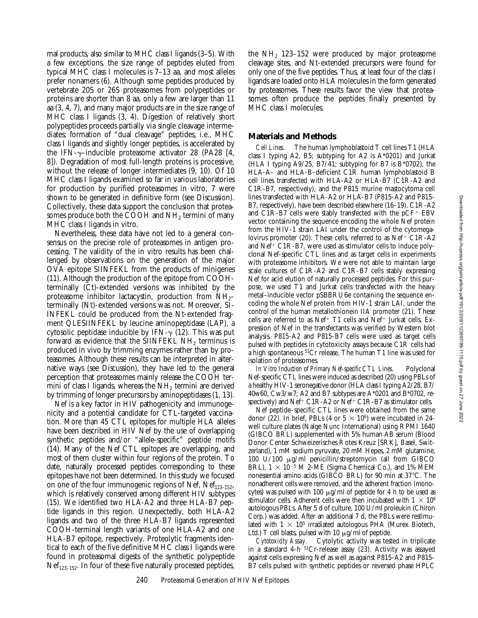mal products, also similar to MHC class I ligands (3–5). With a few exceptions, the size range of peptides eluted from typical MHC class I molecules is 7–13 aa, and most alleles prefer nonamers (6). Although some peptides produced by vertebrate 20S or 26S proteasomes from polypeptides or proteins are shorter than 8 aa, only a few are larger than 11 aa (3, 4, 7), and many major products are in the size range of MHC class I ligands (3, 4). Digestion of relatively short polypeptides proceeds partially via single cleavage intermediates; formation of "dual cleavage" peptides, i.e., MHC class I ligands and slightly longer peptides, is accelerated by the IFN- $\gamma$ –inducible proteasome activator 28 (PA28 [4, 8]). Degradation of most full-length proteins is processive, without the release of longer intermediates (9, 10). Of 10 MHC class I ligands examined so far in various laboratories for production by purified proteasomes in vitro, 7 were shown to be generated in definitive form (see Discussion). Collectively, these data support the conclusion that proteasomes produce both the COOH and NH<sub>2</sub> termini of many MHC class I ligands in vitro.

Nevertheless, these data have not led to a general consensus on the precise role of proteasomes in antigen processing. The validity of the in vitro results has been challenged by observations on the generation of the major OVA epitope SIINFEKL from the products of minigenes (11). Although the production of the epitope from COOHterminally (Ct)-extended versions was inhibited by the proteasome inhibitor lactacystin, production from  $NH_{2}$ terminally (Nt)-extended versions was not. Moreover, SI-INFEKL could be produced from the Nt-extended fragment QLESIINFEKL by leucine aminopeptidase (LAP), a cytosolic peptidase inducible by IFN- $\gamma$  (12). This was put forward as evidence that the SIINFEKL NH<sub>2</sub> terminus is produced in vivo by trimming enzymes rather than by proteasomes. Although these results can be interpreted in alternative ways (see Discussion), they have led to the general perception that proteasomes mainly release the COOH termini of class I ligands, whereas the  $NH<sub>2</sub>$  termini are derived by trimming of longer precursors by aminopeptidases (1, 13).

Nef is a key factor in HIV pathogenicity and immunogenicity and a potential candidate for CTL-targeted vaccination. More than 45 CTL epitopes for multiple HLA alleles have been described in HIV Nef by the use of overlapping synthetic peptides and/or "allele-specific" peptide motifs (14). Many of the Nef CTL epitopes are overlapping, and most of them cluster within four regions of the protein. To date, naturally processed peptides corresponding to these epitopes have not been determined. In this study we focused on one of the four immunogenic regions of Nef,  $Nef_{123-152}$ , which is relatively conserved among different HIV subtypes (15). We identified two HLA-A2 and three HLA-B7 peptide ligands in this region. Unexpectedly, both HLA-A2 ligands and two of the three HLA-B7 ligands represented COOH-terminal length variants of one HLA-A2 and one HLA-B7 epitope, respectively. Proteolytic fragments identical to each of the five definitive MHC class I ligands were found in proteasomal digests of the synthetic polypeptide  $Nef<sub>123–152</sub>$ . In four of these five naturally processed peptides,

the  $NH<sub>2</sub>$  123–152 were produced by major proteasome cleavage sites, and Nt-extended precursors were found for only one of the five peptides. Thus, at least four of the class I ligands are loaded onto HLA molecules in the form generated by proteasomes. These results favor the view that proteasomes often produce the peptides finally presented by MHC class I molecules.

#### **Materials and Methods**

*Cell Lines.* The human lymphoblastoid T cell lines T1 (HLA class I typing A2, B5; subtyping for A2 is A\*0201) and Jurkat (HLA I typing A9/25, B7/41; subtyping for B7 is B\*0702), the HLA-A– and HLA-B–deficient C1R human lymphoblastoid B cell lines transfected with HLA-A2 or HLA-B7 (C1R-A2 and C1R-B7, respectively), and the P815 murine mastocytoma cell lines transfected with HLA-A2 or HLA-B7 (P815-A2 and P815- B7, respectively), have been described elsewhere (16–19). C1R-A2 and C1R-B7 cells were stably transfected with the  $pCF^+$  EBV vector containing the sequence encoding the whole Nef protein from the HIV-1 strain LAI under the control of the cytomegalovirus promoter (20). These cells, referred to as  $Nef^+ C1R-A2$ and  $Nef^+ C1R-B7$ , were used as stimulator cells to induce polyclonal Nef-specific CTL lines and as target cells in experiments with proteasome inhibitors. We were not able to maintain large scale cultures of C1R-A2 and C1R-B7 cells stably expressing Nef for acid elution of naturally processed peptides. For this purpose, we used T1 and Jurkat cells transfected with the heavy metal–inducible vector pSBBRU6e containing the sequence encoding the whole Nef protein from HIV-1 strain LAI, under the control of the human metallothionein IIA promoter (21). These cells are referred to as Nef<sup>+</sup> T1 cells and Nef<sup>+</sup> Jurkat cells. Expression of Nef in the transfectants was verified by Western blot analysis. P815-A2 and P815-B7 cells were used as target cells pulsed with peptides in cytotoxicity assays because C1R cells had a high spontaneous 51Cr release. The human T1 line was used for isolation of proteasomes.

*In Vitro Induction of Primary Nef-specific CTL Lines.* Polyclonal Nef-specific CTL lines were induced as described (20) using PBLs of a healthy HIV-1 seronegative donor (HLA class I typing A2/28, B7/ 40w60, Cw3/w7; A2 and B7 subtypes are A\*0201 and B\*0702, respectively) and Nef<sup>+</sup> C1R-A2 or  $\text{Nef}^+$  C1R-B7 as stimulator cells.

Nef peptide–specific CTL lines were obtained from the same donor (22). In brief, PBLs (4 or  $5 \times 10^6$ ) were incubated in 24well culture plates (Nalge Nunc International) using RPMI 1640 (GIBCO BRL) supplemented with 5% human AB serum (Blood Donor Center Schweizerisches Rotes Kreuz [SRK], Basel, Switzerland), 1 mM sodium pyruvate, 20 mM Hepes, 2 mM glutamine, 100 U/100 mg/ml penicillin/streptomycin (all from GIBCO BRL),  $1 \times 10^{-5}$  M 2-ME (Sigma Chemical Co.), and 1% MEM nonessential amino acids (GIBCO BRL) for 90 min at 37°C. The nonadherent cells were removed, and the adherent fraction (monocytes) was pulsed with 100  $\mu$ g/ml of peptide for 4 h to be used as stimulator cells. Adherent cells were then incubated with  $1 \times 10^6$ autologous PBLs. After 5 d of culture, 100 U/ml proleukin (Chiron Corp.) was added. After an additional 7 d, the PBLs were restimulated with  $1 \times 10^5$  irradiated autologous PHA (Murex Biotech, Ltd.) T cell blasts, pulsed with 10  $\mu$ g/ml of peptide.

*Cytotoxicity Assay.* Cytolytic activity was tested in triplicate in a standard 4-h 51Cr-release assay (23). Activity was assayed against cells expressing Nef as well as against P815-A2 and P815- B7 cells pulsed with synthetic peptides or reversed phase HPLC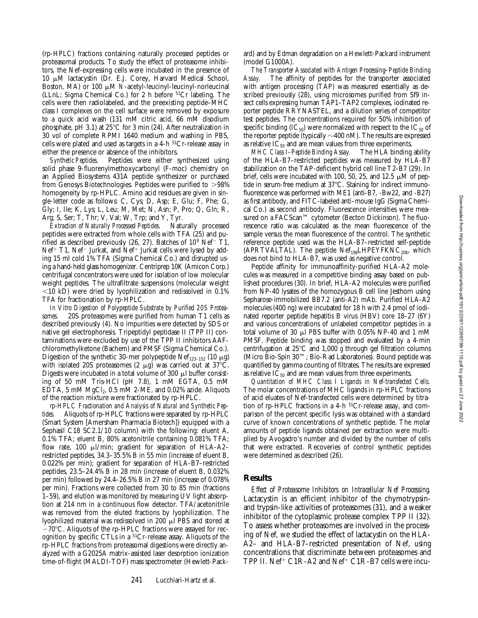(rp-HPLC) fractions containing naturally processed peptides or proteasomal products. To study the effect of proteasome inhibitors, the Nef-expressing cells were incubated in the presence of  $10 \mu M$  lactacystin (Dr. E.J. Corey, Harvard Medical School, Boston, MA) or 100 μM *N*-acetyl-leucinyl-leucinyl-norleucinal (LLnL; Sigma Chemical Co.) for 2 h before 51Cr labeling. The cells were then radiolabeled, and the preexisting peptide–MHC class I complexes on the cell surface were removed by exposure to a quick acid wash (131 mM citric acid, 66 mM disodium phosphate, pH 3.1) at  $25^{\circ}$ C for 3 min (24). After neutralization in 30 vol of complete RPMI 1640 medium and washing in PBS, cells were plated and used as targets in a 4-h 51Cr-release assay in either the presence or absence of the inhibitors.

*Synthetic Peptides.* Peptides were either synthesized using solid phase 9-fluorenylmethoxycarbonyl (F-moc) chemistry on an Applied Biosystems 431A peptide synthesizer or purchased from Genosys Biotechnologies. Peptides were purified to  $>98\%$ homogeneity by rp-HPLC. Amino acid residues are given in single-letter code as follows: C, Cys; D, Asp; E, Glu; F, Phe; G, Gly; I, Ile; K, Lys; L, Leu; M, Met; N, Asn; P, Pro; Q, Gln; R, Arg; S, Ser; T, Thr; V, Val; W, Trp; and Y, Tyr.

*Extraction of Naturally Processed Peptides.* Naturally processed peptides were extracted from whole cells with TFA (25) and purified as described previously (26, 27). Batches of  $10^9$  Nef<sup>-</sup> T1, Nef<sup>+</sup> T1, Nef<sup>-</sup> Jurkat, and Nef<sup>+</sup> Jurkat cells were lysed by adding 15 ml cold 1% TFA (Sigma Chemical Co.) and disrupted using a hand-held glass homogenizer. Centriprep 10K (Amicon Corp.) centrifugal concentrators were used for isolation of low molecular weight peptides. The ultrafiltrate suspensions (molecular weight  $<$ 10 kD) were dried by lyophilization and redissolved in 0.1% TFA for fractionation by rp-HPLC.

*In Vitro Digestion of Polypeptide Substrate by Purified 20S Proteasomes.* 20S proteasomes were purified from human T1 cells as described previously (4). No impurities were detected by SDS or native gel electrophoresis. Tripeptidyl peptidase II (TPP II) contaminations were excluded by use of the TPP II inhibitors AAFchloromethylketone (Bachem) and PMSF (Sigma Chemical Co.). Digestion of the synthetic 30-mer polypeptide Ne $f_{123-152}$  (10  $\mu$ g) with isolated 20S proteasomes (2  $\mu$ g) was carried out at 37°C. Digests were incubated in a total volume of 300  $\mu$ l buffer consisting of 50 mM Tris-HCl (pH 7.8), 1 mM EGTA, 0.5 mM EDTA, 5 mM  $MgCl<sub>2</sub>$ , 0.5 mM 2-ME, and 0.02% azide. Aliquots of the reaction mixture were fractionated by rp-HPLC.

*rp-HPLC Fractionation and Analysis of Natural and Synthetic Peptides.* Aliquots of rp-HPLC fractions were separated by rp-HPLC (Smart System [Amersham Pharmacia Biotech]) equipped with a Sephasil C18 SC2.1/10 column) with the following: eluent A, 0.1% TFA; eluent B, 80% acetonitrile containing 0.081% TFA; flow rate, 100  $\mu$ l/min; gradient for separation of HLA-A2restricted peptides, 34.3–35.5% B in 55 min (increase of eluent B, 0.022% per min); gradient for separation of HLA-B7–restricted peptides, 23.5–24.4% B in 28 min (increase of eluent B, 0.032% per min) followed by 24.4–26.5% B in 27 min (increase of 0.078% per min). Fractions were collected from 30 to 85 min (fractions 1–59), and elution was monitored by measuring UV light absorption at 214 nm in a continuous flow detector. TFA/acetonitrile was removed from the eluted fractions by lyophilization. The lyophilized material was redissolved in 200 ml PBS and stored at  $-70^{\circ}$ C. Aliquots of the rp-HPLC fractions were assayed for recognition by specific CTLs in a 51Cr-release assay. Aliquots of the rp-HPLC fractions from proteasomal digestions were directly analyzed with a G2025A matrix-assisted laser desorption ionization time-of-flight (MALDI-TOF) mass spectrometer (Hewlett-Packard) and by Edman degradation on a Hewlett-Packard instrument (model G1000A).

*The Transporter Associated with Antigen Processing–Peptide Binding* The affinity of peptides for the transporter associated with antigen processing (TAP) was measured essentially as described previously (28), using microsomes purified from Sf9 insect cells expressing human TAP1–TAP2 complexes, iodinated reporter peptide RRYNASTEL, and a dilution series of competitor test peptides. The concentrations required for 50% inhibition of specific binding  $(IC_{50})$  were normalized with respect to the  $IC_{50}$  of the reporter peptide (typically  $\sim$ 400 nM). The results are expressed as relative  $IC_{50}$  and are mean values from three experiments.

*MHC Class I–Peptide Binding Assay.* The HLA binding ability of the HLA-B7–restricted peptides was measured by HLA-B7 stabilization on the TAP-deficient hybrid cell line T2-B7 (29). In brief, cells were incubated with 100, 50, 25, and 12.5  $\mu$ M of peptide in serum-free medium at  $37^{\circ}$ C. Staining for indirect immunofluorescence was performed with ME1 (anti-B7, -Bw22, and -B27) as first antibody, and FITC-labeled anti–mouse IgG (Sigma Chemical Co.) as second antibody. Fluorescence intensities were measured on a FACScan™ cytometer (Becton Dickinson). The fluorescence ratio was calculated as the mean fluorescence of the sample versus the mean fluorescence of the control. The synthetic reference peptide used was the HLA-B7–restricted self-peptide (APRTVALTAL). The peptide  $Nef<sub>198</sub>LHPEYFKNC<sub>206</sub>$ , which does not bind to HLA-B7, was used as negative control.

Peptide affinity for immunoaffinity-purified HLA-A2 molecules was measured in a competitive binding assay based on published procedures (30). In brief, HLA-A2 molecules were purified from NP-40 lysates of the homozygous B cell line Jesthorn using Sepharose-immobilized BB7.2 (anti-A2) mAb. Purified HLA-A2 molecules (400 ng) were incubated for 18 h with 2.4 pmol of iodinated reporter peptide hepatitis B virus (HBV) core 18–27 (6Y) and various concentrations of unlabeled competitor peptides in a total volume of 30  $\mu$ l PBS buffer with 0.05% NP-40 and 1 mM PMSF. Peptide binding was stopped and evaluated by a 4-min centrifugation at  $25^{\circ}$ C and 1,000 *g* through gel filtration columns (Micro Bio-Spin 30™; Bio-Rad Laboratories). Bound peptide was quantified by gamma counting of filtrates. The results are expressed as relative  $IC_{50}$  and are mean values from three experiments.

*Quantitation of MHC Class I Ligands in Nef-transfected Cells.* The molar concentrations of MHC ligands in rp-HPLC fractions of acid eluates of Nef-transfected cells were determined by titration of rp-HPLC fractions in a 4-h 51Cr-release assay, and comparison of the percent specific lysis was obtained with a standard curve of known concentrations of synthetic peptide. The molar amounts of peptide ligands obtained per extraction were multiplied by Avogadro's number and divided by the number of cells that were extracted. Recoveries of control synthetic peptides were determined as described (26).

#### **Results**

*Effect of Proteasome Inhibitors on Intracellular Nef Processing.* Lactacystin is an efficient inhibitor of the chymotrypsinand trypsin-like activities of proteasomes (31), and a weaker inhibitor of the cytoplasmic protease complex TPP II (32). To assess whether proteasomes are involved in the processing of Nef, we studied the effect of lactacystin on the HLA-A2– and HLA-B7–restricted presentation of Nef, using concentrations that discriminate between proteasomes and TPP II.  $Nef^+$  C1R-A2 and  $Nef^+$  C1R-B7 cells were incu-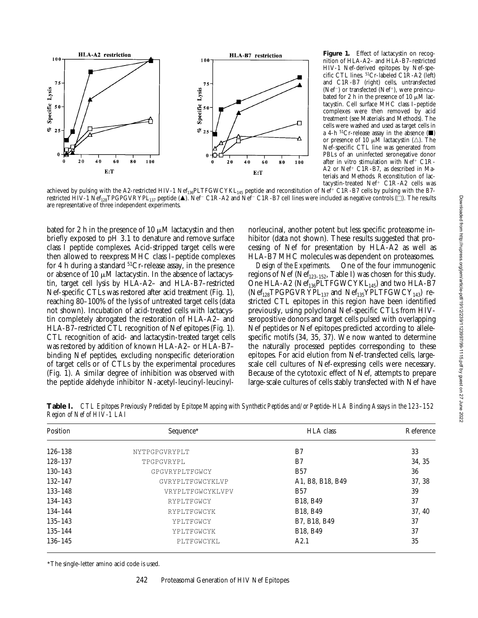

Figure 1. Effect of lactacystin on recognition of HLA-A2– and HLA-B7–restricted HIV-1 Nef-derived epitopes by Nef-specific CTL lines. 51Cr-labeled C1R-A2 (left) and C1R-B7 (right) cells, untransfected (Nef<sup>-</sup>) or transfected (Nef<sup>+</sup>), were preincubated for 2 h in the presence of 10  $\mu$ M lactacystin. Cell surface MHC class I–peptide complexes were then removed by acid treatment (see Materials and Methods). The cells were washed and used as target cells in a 4-h  ${}^{51}Cr$ -release assay in the absence ( $\blacksquare$ ) or presence of 10  $\mu$ M lactacystin ( $\triangle$ ). The Nef-specific CTL line was generated from PBLs of an uninfected seronegative donor after in vitro stimulation with Nef<sup>+</sup> C1R-A2 or Nef<sup>+</sup> C1R-B7, as described in Materials and Methods. Reconstitution of lactacystin-treated  $Nef^+$  C1R-A2 cells was

achieved by pulsing with the A2-restricted HIV-1  $\text{Nef}_{136}$ PLTFGWCYKL<sub>145</sub> peptide and reconstitution of Nef<sup>+</sup> C1R-B7 cells by pulsing with the B7restricted HIV-1 Nef<sub>128</sub>TPGPGVRYPL<sub>137</sub> peptide ( $\blacktriangle$ ). Nef<sup>-</sup> C1R-A2 and Nef<sup>-</sup> C1R-B7 cell lines were included as negative controls ( $\Box$ ). The results are representative of three independent experiments.

bated for 2 h in the presence of 10  $\mu$ M lactacystin and then briefly exposed to pH 3.1 to denature and remove surface class I peptide complexes. Acid-stripped target cells were then allowed to reexpress MHC class I–peptide complexes for 4 h during a standard  $51Cr$ -release assay, in the presence or absence of 10  $\mu$ M lactacystin. In the absence of lactacystin, target cell lysis by HLA-A2– and HLA-B7–restricted Nef-specific CTLs was restored after acid treatment (Fig. 1), reaching 80–100% of the lysis of untreated target cells (data not shown). Incubation of acid-treated cells with lactacystin completely abrogated the restoration of HLA-A2– and HLA-B7–restricted CTL recognition of Nef epitopes (Fig. 1). CTL recognition of acid- and lactacystin-treated target cells was restored by addition of known HLA-A2– or HLA-B7– binding Nef peptides, excluding nonspecific deterioration of target cells or of CTLs by the experimental procedures (Fig. 1). A similar degree of inhibition was observed with the peptide aldehyde inhibitor N-acetyl-leucinyl-leucinylnorleucinal, another potent but less specific proteasome inhibitor (data not shown). These results suggested that processing of Nef for presentation by HLA-A2 as well as HLA-B7 MHC molecules was dependent on proteasomes.

*Design of the Experiments.* One of the four immunogenic regions of Nef (Ne $f_{123-152}$ , Table I) was chosen for this study. One HLA-A2 ( $Nef_{136}$ PLTFGWCYKL<sub>145</sub>) and two HLA-B7  $(Nef<sub>128</sub>TPGPGVRYPL<sub>137</sub>$  and  $Nef<sub>135</sub>YPLTFGWCY<sub>143</sub>)$  restricted CTL epitopes in this region have been identified previously, using polyclonal Nef-specific CTLs from HIVseropositive donors and target cells pulsed with overlapping Nef peptides or Nef epitopes predicted according to allelespecific motifs (34, 35, 37). We now wanted to determine the naturally processed peptides corresponding to these epitopes. For acid elution from Nef-transfected cells, largescale cell cultures of Nef-expressing cells were necessary. Because of the cytotoxic effect of Nef, attempts to prepare large-scale cultures of cells stably transfected with Nef have

**Table I.** *CTL Epitopes Previously Predicted by Epitope Mapping with Synthetic Peptides and/or Peptide–HLA Binding Assays in the 123–152 Region of Nef of HIV-1 LAI*

| Position                  | Sequence*        | <b>HLA</b> class                  | Reference<br>33 |  |
|---------------------------|------------------|-----------------------------------|-----------------|--|
| $126 - 138$               | NYTPGPGVRYPLT    | B <sub>7</sub>                    |                 |  |
| 128-137                   | TPGPGVRYPL       | B7                                | 34, 35          |  |
| $130 - 143$               | GPGVRYPLTFGWCY   | <b>B57</b>                        | 36              |  |
| $132 - 147$               | GVRYPLTFGWCYKLVP | A1, B8, B18, B49                  | 37, 38          |  |
| $133 - 148$               | VRYPLTFGWCYKLVPV | <b>B57</b>                        | 39              |  |
| $134 - 143$               | RYPLTFGWCY       | B <sub>18</sub> , B <sub>49</sub> | 37              |  |
| $134 - 144$               | RYPLTFGWCYK      | B <sub>18</sub> , B <sub>49</sub> | 37.40           |  |
| $135 - 143$               | YPLTFGWCY        | B7, B18, B49                      | 37              |  |
| $135 - 144$               | YPLTFGWCYK       | B <sub>18</sub> . B <sub>49</sub> | 37              |  |
| $136 - 145$<br>PLTFGWCYKL |                  | A2.1                              | 35              |  |

\*The single-letter amino acid code is used.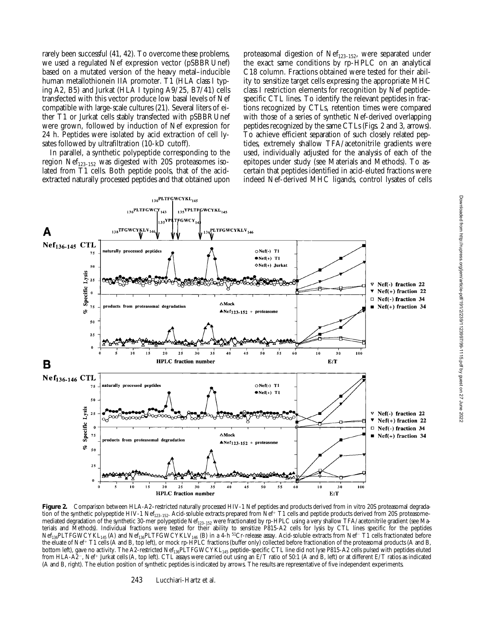rarely been successful (41, 42). To overcome these problems, we used a regulated Nef expression vector (pSBBRUnef) based on a mutated version of the heavy metal–inducible human metallothionein IIA promoter. T1 (HLA class I typing A2, B5) and Jurkat (HLA I typing A9/25, B7/41) cells transfected with this vector produce low basal levels of Nef compatible with large-scale cultures (21). Several liters of either T1 or Jurkat cells stably transfected with pSBBRUnef were grown, followed by induction of Nef expression for 24 h. Peptides were isolated by acid extraction of cell lysates followed by ultrafiltration (10-kD cutoff).

In parallel, a synthetic polypeptide corresponding to the region  $Nef_{123-152}$  was digested with 20S proteasomes isolated from T1 cells. Both peptide pools, that of the acidextracted naturally processed peptides and that obtained upon proteasomal digestion of  $Nef<sub>123–152</sub>$ , were separated under the exact same conditions by rp-HPLC on an analytical C18 column. Fractions obtained were tested for their ability to sensitize target cells expressing the appropriate MHC class I restriction elements for recognition by Nef peptide– specific CTL lines. To identify the relevant peptides in fractions recognized by CTLs, retention times were compared with those of a series of synthetic Nef-derived overlapping peptides recognized by the same CTLs (Figs. 2 and 3, arrows). To achieve efficient separation of such closely related peptides, extremely shallow TFA/acetonitrile gradients were used, individually adjusted for the analysis of each of the epitopes under study (see Materials and Methods). To ascertain that peptides identified in acid-eluted fractions were indeed Nef-derived MHC ligands, control lysates of cells



Figure 2. Comparison between HLA-A2-restricted naturally processed HIV-1 Nef peptides and products derived from in vitro 20S proteasomal degradation of the synthetic polypeptide HIV-1 Nef<sub>123-152</sub>. Acid-soluble extracts prepared from Nef<sup>+</sup> T1 cells and peptide products derived from 20S proteasome– mediated degradation of the synthetic 30-mer polypeptide Nef<sub>123-152</sub> were fractionated by rp-HPLC using a very shallow TFA/acetonitrile gradient (see Materials and Methods). Individual fractions were tested for their ability to sensitize P815-A2 cells for lysis by CTL lines specific for the peptides  $Nef_{136}$ PLTFGWCYKL<sub>145</sub> (A) and Nef<sub>136</sub>PLTFGWCYKLV<sub>146</sub> (B) in a 4-h <sup>51</sup>Cr-release assay. Acid-soluble extracts from Nef<sup>-</sup> T1 cells fractionated before the eluate of Nef<sup>+</sup> T1 cells (A and B, top left), or mock rp-HPLC fractions (buffer only) collected before fractionation of the proteasomal products (A and B, bottom left), gave no activity. The A2-restricted Nef<sub>136</sub>PLTFGWCYKL<sub>145</sub> peptide–specific CTL line did not lyse P815-A2 cells pulsed with peptides eluted from HLA-A2<sup>-</sup>, Nef<sup>+</sup> Jurkat cells (A, top left). CTL assays were carried out using an E/T ratio of 50:1 (A and B, left) or at different E/T ratios as indicated (A and B, right). The elution position of synthetic peptides is indicated by arrows. The results are representative of five independent experiments.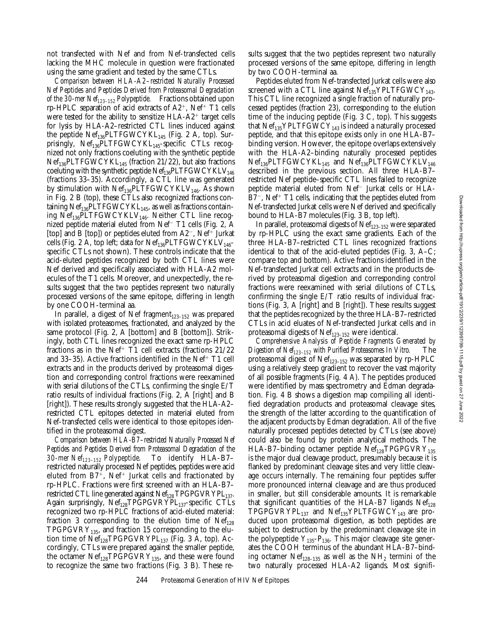not transfected with Nef and from Nef-transfected cells lacking the MHC molecule in question were fractionated using the same gradient and tested by the same CTLs.

*Comparison between HLA-A2–restricted Naturally Processed Nef Peptides and Peptides Derived from Proteasomal Degradation of the 30-mer Nef123–152 Polypeptide.* Fractions obtained upon rp-HPLC separation of acid extracts of  $A2^+$ , Nef<sup>+</sup> T1 cells were tested for the ability to sensitize  $HLA-A2^+$  target cells for lysis by HLA-A2–restricted CTL lines induced against the peptide  $\text{Nef}_{136}$ PLTFGWCYKL<sub>145</sub> (Fig. 2 A, top). Surprisingly,  $\text{Nef}_{136}$ PLTFGWCYKL<sub>145</sub>-specific CTLs recognized not only fractions coeluting with the synthetic peptide  $Nef_{136}$ PLTFGWCYKL<sub>145</sub> (fraction 21/22), but also fractions coeluting with the synthetic peptide  $Nef_{136}PLTFGWCYKLV_{146}$ (fractions 33–35). Accordingly, a CTL line was generated by stimulation with  $\mathrm{Nef}_{136}\mathrm{PLTFGWCYKLV}_{146}.$  As shown in Fig. 2 B (top), these CTLs also recognized fractions containing  $Nef_{136}$ PLTFGWCYKL<sub>145</sub>, as well as fractions containing  $Nef_{136}$ PLTFGWCYKLV<sub>146</sub>. Neither CTL line recognized peptide material eluted from Nef<sup> $-$ </sup> T1 cells (Fig. 2, A [top] and B [top]) or peptides eluted from  $A2^-$ , Nef<sup>+</sup> Jurkat cells (Fig. 2 A, top left; data for  $Nef_{136}PLTFGWCYKLV_{146}$ specific CTLs not shown). These controls indicate that the acid-eluted peptides recognized by both CTL lines were Nef derived and specifically associated with HLA-A2 molecules of the T1 cells. Moreover, and unexpectedly, the results suggest that the two peptides represent two naturally processed versions of the same epitope, differing in length by one COOH-terminal aa.

In parallel, a digest of Nef fragment $_{123-152}$  was prepared with isolated proteasomes, fractionated, and analyzed by the same protocol (Fig. 2, A [bottom] and B [bottom]). Strikingly, both CTL lines recognized the exact same rp-HPLC fractions as in the Nef<sup>+</sup> T1 cell extracts (fractions  $21/22$ and 33–35). Active fractions identified in the Nef<sup>+</sup> T1 cell extracts and in the products derived by proteasomal digestion and corresponding control fractions were reexamined with serial dilutions of the CTLs, confirming the single E/T ratio results of individual fractions (Fig. 2, A [right] and B [right]). These results strongly suggested that the HLA-A2– restricted CTL epitopes detected in material eluted from Nef-transfected cells were identical to those epitopes identified in the proteasomal digest.

*Comparison between HLA-B7–restricted Naturally Processed Nef Peptides and Peptides Derived from Proteasomal Degradation of the 30-mer Nef123–152 Polypeptide.* To identify HLA-B7– restricted naturally processed Nef peptides, peptides were acid eluted from  $B7^+$ , Nef<sup>+</sup> Jurkat cells and fractionated by rp-HPLC. Fractions were first screened with an HLA-B7– restricted CTL line generated against Nef<sub>128</sub> TPGPGVRYPL<sub>137</sub>. Again surprisingly, Nef<sub>128</sub>TPGPGVRYPL<sub>137</sub>-specific CTLs recognized two rp-HPLC fractions of acid-eluted material: fraction 3 corresponding to the elution time of  $Nef_{128}$ TPGPGVRY $_{135}$ , and fraction 15 corresponding to the elution time of  $Nef_{128}TPGPGVRYPL_{137}$  (Fig. 3 A, top). Accordingly, CTLs were prepared against the smaller peptide, the octamer  $Nef<sub>128</sub>TPGPGVRY<sub>135</sub>$ , and these were found to recognize the same two fractions (Fig. 3 B). These results suggest that the two peptides represent two naturally processed versions of the same epitope, differing in length by two COOH-terminal aa.

Peptides eluted from Nef-transfected Jurkat cells were also screened with a CTL line against  $\text{Nef}_{135} \text{YPLTFGWCY}_{143}$ . This CTL line recognized a single fraction of naturally processed peptides (fraction 23), corresponding to the elution time of the inducing peptide (Fig. 3 C, top). This suggests that  $Nef_{135}YPLTFGWCY_{143}$  is indeed a naturally processed peptide, and that this epitope exists only in one HLA-B7– binding version. However, the epitope overlaps extensively with the HLA-A2–binding naturally processed peptides  $Nef_{136}$ PLTFGWCYKL $_{145}$  and  $Nef_{136}$ PLTFGWCYKLV $_{146}$ described in the previous section. All three HLA-B7– restricted Nef peptide–specific CTL lines failed to recognize peptide material eluted from Nef<sup>-</sup> Jurkat cells or HLA- $B7^-$ , Nef<sup>+</sup> T1 cells, indicating that the peptides eluted from Nef-transfected Jurkat cells were Nef derived and specifically bound to HLA-B7 molecules (Fig. 3 B, top left).

In parallel, proteasomal digests of  $\text{Nef}_{123-152}$  were separated by rp-HPLC using the exact same gradients. Each of the three HLA-B7–restricted CTL lines recognized fractions identical to that of the acid-eluted peptides (Fig. 3, A–C; compare top and bottom). Active fractions identified in the Nef-transfected Jurkat cell extracts and in the products derived by proteasomal digestion and corresponding control fractions were reexamined with serial dilutions of CTLs, confirming the single E/T ratio results of individual fractions (Fig. 3, A [right] and B [right]). These results suggest that the peptides recognized by the three HLA-B7–restricted CTLs in acid eluates of Nef-transfected Jurkat cells and in proteasomal digests of  $Nef<sub>123–152</sub>$  were identical.

*Comprehensive Analysis of Peptide Fragments Generated by Digestion of Nef123–152 with Purified Proteasomes In Vitro.* The proteasomal digest of  $Nef<sub>123–152</sub>$  was separated by rp-HPLC using a relatively steep gradient to recover the vast majority of all possible fragments (Fig. 4 A). The peptides produced were identified by mass spectrometry and Edman degradation. Fig. 4 B shows a digestion map compiling all identified degradation products and proteasomal cleavage sites, the strength of the latter according to the quantification of the adjacent products by Edman degradation. All of the five naturally processed peptides detected by CTLs (see above) could also be found by protein analytical methods. The HLA-B7-binding octamer peptide  $Nef_{128}TPGPGVRY_{135}$ is the major dual cleavage product, presumably because it is flanked by predominant cleavage sites and very little cleavage occurs internally. The remaining four peptides suffer more pronounced internal cleavage and are thus produced in smaller, but still considerable amounts. It is remarkable that significant quantities of the HLA-B7 ligands  $Nef<sub>128</sub>$ TPGPGVRYPL<sub>137</sub> and Nef<sub>135</sub>YPLTFGWCY<sub>143</sub> are produced upon proteasomal digestion, as both peptides are subject to destruction by the predominant cleavage site in the polypeptide  $Y_{135} - P_{136}$ . This major cleavage site generates the COOH terminus of the abundant HLA-B7–binding octamer Ne $f_{128-135}$  as well as the NH<sub>2</sub> termini of the two naturally processed HLA-A2 ligands. Most signifi-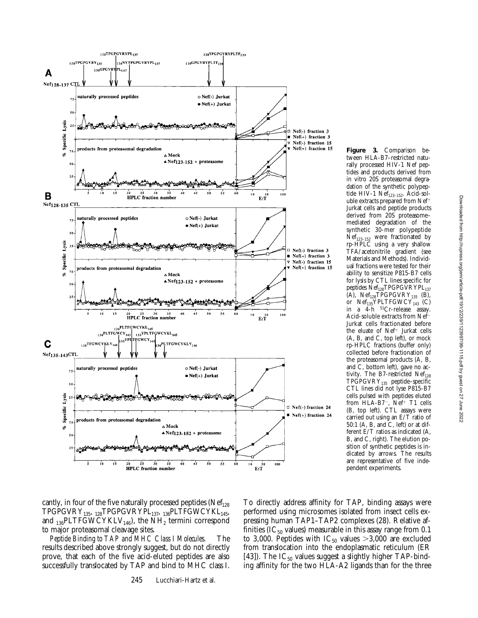

**Figure 3.** Comparison between HLA-B7–restricted naturally processed HIV-1 Nef peptides and products derived from in vitro 20S proteasomal degradation of the synthetic polypeptide HIV-1  $\text{Nef}_{123-152}$ . Acid-soluble extracts prepared from  $Nef^+$ Jurkat cells and peptide products derived from 20S proteasome– mediated degradation of the synthetic 30-mer polypeptide Nef123–152 were fractionated by rp-HPLC using a very shallow TFA/acetonitrile gradient (see Materials and Methods). Individual fractions were tested for their ability to sensitize P815-B7 cells for lysis by CTL lines specific for peptides  ${\rm Nef}_{128} {\rm TPGPGVRYPL}_{137}$  $(A)$ , Nef<sub>128</sub>TPGPGVRY<sub>135</sub> (B), or  $Nef_{135}YPLTFGWCY_{143}$  (C) in a 4-h 51Cr-release assay. Acid-soluble extracts from Nef-Jurkat cells fractionated before the eluate of Nef<sup>+</sup> Jurkat cells (A, B, and C, top left), or mock rp-HPLC fractions (buffer only) collected before fractionation of the proteasomal products (A, B, and C, bottom left), gave no activity. The B7-restricted  $Nef<sub>128</sub>$  $TPGPGVRY_{135}$  peptide–specific CTL lines did not lyse P815-B7 cells pulsed with peptides eluted from  $HLA-B7^-$ ,  $Nef^+$  T1 cells (B, top left). CTL assays were carried out using an E/T ratio of 50:1 (A, B, and C, left) or at different E/T ratios as indicated (A, B, and C, right). The elution position of synthetic peptides is indicated by arrows. The results are representative of five independent experiments.

cantly, in four of the five naturally processed peptides ( $Nef<sub>128</sub>$ )  $\label{eq:TPGPG} \text{TPGPGVRY}_{135}, \text{ }_{128} \text{TPGPGVRYPL}_{137}, \text{ }_{136} \text{PLTFGWCYKL}_{145},$ and  $_{136}$ PLTFGWCYKLV<sub>146</sub>), the NH<sub>2</sub> termini correspond to major proteasomal cleavage sites.

*Peptide Binding to TAP and MHC Class I Molecules.* The results described above strongly suggest, but do not directly prove, that each of the five acid-eluted peptides are also successfully translocated by TAP and bind to MHC class I. To directly address affinity for TAP, binding assays were performed using microsomes isolated from insect cells expressing human TAP1–TAP2 complexes (28). Relative affinities (IC $_{50}$  values) measurable in this assay range from 0.1 to 3,000. Peptides with  $IC_{50}$  values  $>3,000$  are excluded from translocation into the endoplasmatic reticulum (ER [43]). The  $IC_{50}$  values suggest a slightly higher TAP-binding affinity for the two HLA-A2 ligands than for the three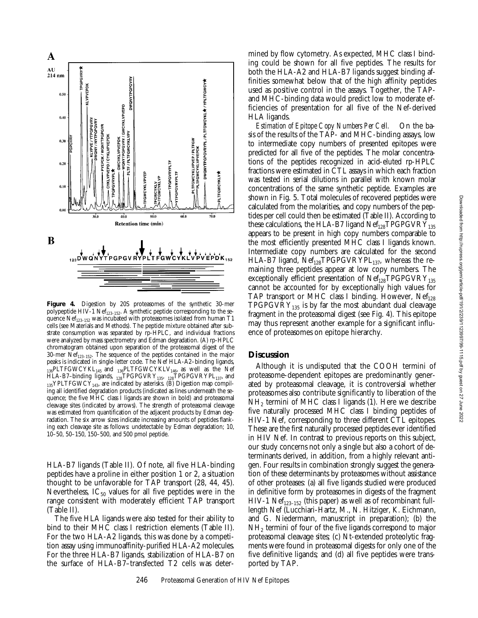

**Figure 4.** Digestion by 20S proteasomes of the synthetic 30-mer polypeptide HIV-1 Ne $f_{123-152}$ . A synthetic peptide corresponding to the sequence Nef<sub>123-152</sub> was incubated with proteasomes isolated from human T1 cells (see Materials and Methods). The peptide mixture obtained after substrate consumption was separated by rp-HPLC, and individual fractions were analyzed by mass spectrometry and Edman degradation. (A) rp-HPLC chromatogram obtained upon separation of the proteasomal digest of the 30-mer Nef<sub>123-152</sub>. The sequence of the peptides contained in the major peaks is indicated in single-letter code. The Nef HLA-A2–binding ligands,  $\hat{L}_{136}$ PLTFGWCYKL<sub>145</sub> and <sub>136</sub>PLTFGWCYKLV<sub>146</sub>, as well as the Nef HLA-B7–binding ligands,  $_{128}TPGPGVRY_{135}$ ,  $_{128}TPGPGVRYPL_{137}$ , and  $_{135}$ YPLTFGWCY $_{143}$ , are indicated by asterisks. (B) Digestion map compiling all identified degradation products (indicated as lines underneath the sequence; the five MHC class I ligands are shown in bold) and proteasomal cleavage sites (indicated by arrows). The strength of proteasomal cleavage was estimated from quantification of the adjacent products by Edman degradation. The six arrow sizes indicate increasing amounts of peptides flanking each cleavage site as follows: undetectable by Edman degradation; 10, 10–50, 50–150, 150–500, and 500 pmol peptide.

HLA-B7 ligands (Table II). Of note, all five HLA-binding peptides have a proline in either position 1 or 2, a situation thought to be unfavorable for TAP transport (28, 44, 45). Nevertheless,  $IC_{50}$  values for all five peptides were in the range consistent with moderately efficient TAP transport (Table II).

The five HLA ligands were also tested for their ability to bind to their MHC class I restriction elements (Table II). For the two HLA-A2 ligands, this was done by a competition assay using immunoaffinity-purified HLA-A2 molecules. For the three HLA-B7 ligands, stabilization of HLA-B7 on the surface of HLA-B7–transfected T2 cells was determined by flow cytometry. As expected, MHC class I binding could be shown for all five peptides. The results for both the HLA-A2 and HLA-B7 ligands suggest binding affinities somewhat below that of the high affinity peptides used as positive control in the assays. Together, the TAPand MHC-binding data would predict low to moderate efficiencies of presentation for all five of the Nef-derived HLA ligands.

*Estimation of Epitope Copy Numbers Per Cell.* On the basis of the results of the TAP- and MHC-binding assays, low to intermediate copy numbers of presented epitopes were predicted for all five of the peptides. The molar concentrations of the peptides recognized in acid-eluted rp-HPLC fractions were estimated in CTL assays in which each fraction was tested in serial dilutions in parallel with known molar concentrations of the same synthetic peptide. Examples are shown in Fig. 5. Total molecules of recovered peptides were calculated from the molarities, and copy numbers of the peptides per cell could then be estimated (Table II). According to these calculations, the HLA-B7 ligand  $Nef<sub>128</sub>TPGPGVRY<sub>135</sub>$ appears to be present in high copy numbers comparable to the most efficiently presented MHC class I ligands known. Intermediate copy numbers are calculated for the second HLA-B7 ligand,  $Nef_{128}TPGPGVRYPL_{137}$ , whereas the remaining three peptides appear at low copy numbers. The exceptionally efficient presentation of  $Nef_{128}TPGPGVRY_{135}$ cannot be accounted for by exceptionally high values for TAP transport or MHC class I binding. However,  $Nef_{128}$ TPGPGVRY<sub>135</sub> is by far the most abundant dual cleavage fragment in the proteasomal digest (see Fig. 4). This epitope may thus represent another example for a significant influence of proteasomes on epitope hierarchy.

### **Discussion**

Although it is undisputed that the COOH termini of proteasome-dependent epitopes are predominantly generated by proteasomal cleavage, it is controversial whether proteasomes also contribute significantly to liberation of the  $NH<sub>2</sub>$  termini of MHC class I ligands (1). Here we describe five naturally processed MHC class I binding peptides of HIV-1 Nef, corresponding to three different CTL epitopes. These are the first naturally processed peptides ever identified in HIV Nef. In contrast to previous reports on this subject, our study concerns not only a single but also a cohort of determinants derived, in addition, from a highly relevant antigen. Four results in combination strongly suggest the generation of these determinants by proteasomes without assistance of other proteases: (a) all five ligands studied were produced in definitive form by proteasomes in digests of the fragment HIV-1 Ne $f_{123-152}$  (this paper) as well as of recombinant fulllength Nef (Lucchiari-Hartz, M., N. Hitziger, K. Eichmann, and G. Niedermann, manuscript in preparation); (b) the NH2 termini of four of the five ligands correspond to major proteasomal cleavage sites; (c) Nt-extended proteolytic fragments were found in proteasomal digests for only one of the five definitive ligands; and (d) all five peptides were transported by TAP.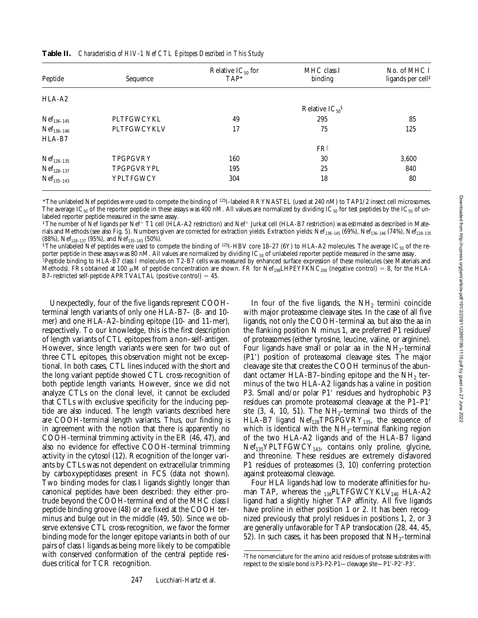| Peptide         | Sequence        | Relative $IC_{50}$ for<br>$TAP*$ | MHC class I<br>binding | No. of MHC I<br>ligands per cell <sup>‡</sup> |  |
|-----------------|-----------------|----------------------------------|------------------------|-----------------------------------------------|--|
| $HLA-A2$        |                 |                                  |                        |                                               |  |
|                 |                 | Relative $IC_{50}$ <sup>§</sup>  |                        |                                               |  |
| $Nef_{136-145}$ | PLTFGWCYKL      | 49                               | 295                    | 85                                            |  |
| $Nef_{136-146}$ | PLTFGWCYKLV     | 17                               | 75                     | 125                                           |  |
| HLA-B7          |                 |                                  |                        |                                               |  |
|                 |                 |                                  | FR                     |                                               |  |
| $Nef_{128-135}$ | <b>TPGPGVRY</b> | 160                              | 30                     | 3.600                                         |  |
| $Nef_{128-137}$ | TPGPGVRYPL      | 195                              | 25                     | 840                                           |  |
| $Nef_{135-143}$ | YPLTFGWCY       | 304                              | 18                     | 80                                            |  |

**Table II.** *Characteristics of HIV-1 Nef CTL Epitopes Described in This Study*

\*The unlabeled Nef peptides were used to compete the binding of 125I-labeled RRYNASTEL (used at 240 nM) to TAP1/2 insect cell microsomes. The average IC<sub>50</sub> of the reporter peptide in these assays was 400 nM. All values are normalized by dividing IC<sub>50</sub> for test peptides by the IC<sub>50</sub> of unlabeled reporter peptide measured in the same assay.

 $^\ddag$ The number of Nef ligands per Nef+ T1 cell (HĽA-A2 restriction) and Nef+ Jurkat cell (HLA-B7 restriction) was estimated as described in Materials and Methods (see also Fig. 5). Numbers given are corrected for extraction yields. Extraction yields: Nef<sub>136-145</sub> (69%), Nef<sub>136-146</sub> (74%), Nef<sub>128-135</sub> (88%), Nef<sub>128-137</sub> (95%), and Nef<sub>135-143</sub> (50%).

<sup>§</sup>The unlabeled Nef peptides were used to compete the binding of <sup>125</sup>I-HBV core 18–27 (6Y) to HLA-A2 molecules. The average IC<sub>50</sub> of the reporter peptide in these assays was 80 nM. All values are normalized by dividing IC $_{50}$  of unlabeled reporter peptide measured in the same assay.

i Peptide binding to HLA-B7 class I molecules on T2-B7 cells was measured by enhanced surface expression of these molecules (see Materials and Methods). FRs obtained at 100  $\mu$ M of peptide concentration are shown. FR for Nef<sub>198</sub>LHPEYFKNC<sub>206</sub> (negative control) = 8, for the HLA-B7–restricted self-peptide APRTVALTAL (positive control) =  $45$ .

Unexpectedly, four of the five ligands represent COOHterminal length variants of only one HLA-B7– (8- and 10 mer) and one HLA-A2–binding epitope (10- and 11-mer), respectively. To our knowledge, this is the first description of length variants of CTL epitopes from a non–self-antigen. However, since length variants were seen for two out of three CTL epitopes, this observation might not be exceptional. In both cases, CTL lines induced with the short and the long variant peptide showed CTL cross-recognition of both peptide length variants. However, since we did not analyze CTLs on the clonal level, it cannot be excluded that CTLs with exclusive specificity for the inducing peptide are also induced. The length variants described here are COOH-terminal length variants. Thus, our finding is in agreement with the notion that there is apparently no COOH-terminal trimming activity in the ER (46, 47), and also no evidence for effective COOH-terminal trimming activity in the cytosol (12). Recognition of the longer variants by CTLs was not dependent on extracellular trimming by carboxypeptidases present in FCS (data not shown). Two binding modes for class I ligands slightly longer than canonical peptides have been described: they either protrude beyond the COOH-terminal end of the MHC class I peptide binding groove (48) or are fixed at the COOH terminus and bulge out in the middle (49, 50). Since we observe extensive CTL cross-recognition, we favor the former binding mode for the longer epitope variants in both of our pairs of class I ligands as being more likely to be compatible with conserved conformation of the central peptide residues critical for TCR recognition.

In four of the five ligands, the  $NH<sub>2</sub>$  termini coincide with major proteasome cleavage sites. In the case of all five ligands, not only the COOH-terminal aa, but also the aa in the flanking position N minus 1, are preferred P1 residues<sup>2</sup> of proteasomes (either tyrosine, leucine, valine, or arginine). Four ligands have small or polar aa in the  $NH_2$ -terminal (P1<sup>'</sup>) position of proteasomal cleavage sites. The major cleavage site that creates the COOH terminus of the abundant octamer HLA-B7–binding epitope and the  $NH<sub>2</sub>$  terminus of the two HLA-A2 ligands has a valine in position P3. Small and/or polar P1' residues and hydrophobic P3 residues can promote proteasomal cleavage at the P1–P1' site  $(3, 4, 10, 51)$ . The NH<sub>2</sub>-terminal two thirds of the HLA-B7 ligand  $Nef<sub>128</sub>TPGPGVRY<sub>135</sub>$ , the sequence of which is identical with the  $NH_2$ -terminal flanking region of the two HLA-A2 ligands and of the HLA-B7 ligand  $Nef<sub>135</sub>YPLTFGWCY<sub>143</sub>$ , contains only proline, glycine, and threonine. These residues are extremely disfavored P1 residues of proteasomes (3, 10) conferring protection against proteasomal cleavage.

Four HLA ligands had low to moderate affinities for human TAP, whereas the  $_{136}$ PLTFGWCYKLV<sub>146</sub> HLA-A2 ligand had a slightly higher TAP affinity. All five ligands have proline in either position 1 or 2. It has been recognized previously that prolyl residues in positions 1, 2, or 3 are generally unfavorable for TAP translocation (28, 44, 45, 52). In such cases, it has been proposed that  $NH<sub>2</sub>$ -terminal

<sup>&</sup>lt;sup>2</sup>The nomenclature for the amino acid residues of protease substrates with respect to the scissile bond is P3-P2-P1—cleavage site—P1'-P2'-P3'.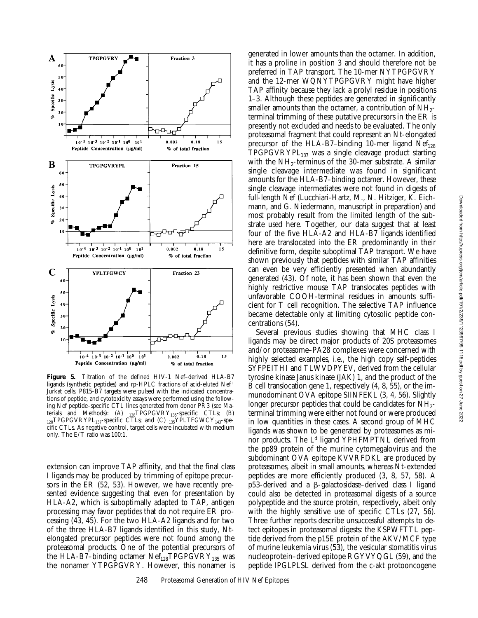

**Figure 5.** Titration of the defined HIV-1 Nef–derived HLA-B7 ligands (synthetic peptides) and rp-HPLC fractions of acid-eluted Nef<sup>+</sup> Jurkat cells. P815-B7 targets were pulsed with the indicated concentrations of peptide, and cytotoxicity assays were performed using the following Nef peptide–specific CTL lines generated from donor PR3 (see Materials and Methods): (A)  $_{128}TPGPGVRY_{135}$ -specific CTLs; (B)  $_{128}$ TPGPGVRYPL $_{137}$ -specific CTLs; and (C)  $_{135}$ YPLTFGWCY $_{143}$ -specific CTLs. As negative control, target cells were incubated with medium only. The E/T ratio was 100:1.

extension can improve TAP affinity, and that the final class I ligands may be produced by trimming of epitope precursors in the ER (52, 53). However, we have recently presented evidence suggesting that even for presentation by HLA-A2, which is suboptimally adapted to TAP, antigen processing may favor peptides that do not require ER processing (43, 45). For the two HLA-A2 ligands and for two of the three HLA-B7 ligands identified in this study, Ntelongated precursor peptides were not found among the proteasomal products. One of the potential precursors of the HLA-B7–binding octamer  $Nef<sub>128</sub>TPGPGVRY<sub>135</sub>$  was the nonamer YTPGPGVRY. However, this nonamer is

generated in lower amounts than the octamer. In addition, it has a proline in position 3 and should therefore not be preferred in TAP transport. The 10-mer NYTPGPGVRY and the 12-mer WQNYTPGPGVRY might have higher TAP affinity because they lack a prolyl residue in positions 1–3. Although these peptides are generated in significantly smaller amounts than the octamer, a contribution of  $NH_{2}$ terminal trimming of these putative precursors in the ER is presently not excluded and needs to be evaluated. The only proteasomal fragment that could represent an Nt-elongated precursor of the HLA-B7-binding 10-mer ligand  $Nef_{128}$  $TPGPGVRYPL_{137}$  was a single cleavage product starting with the  $NH_2$ -terminus of the 30-mer substrate. A similar single cleavage intermediate was found in significant amounts for the HLA-B7–binding octamer. However, these single cleavage intermediates were not found in digests of full-length Nef (Lucchiari-Hartz, M., N. Hitziger, K. Eichmann, and G. Niedermann, manuscript in preparation) and most probably result from the limited length of the substrate used here. Together, our data suggest that at least four of the five HLA-A2 and HLA-B7 ligands identified here are translocated into the ER predominantly in their definitive form, despite suboptimal TAP transport. We have shown previously that peptides with similar TAP affinities can even be very efficiently presented when abundantly generated (43). Of note, it has been shown that even the highly restrictive mouse TAP translocates peptides with unfavorable COOH-terminal residues in amounts sufficient for T cell recognition. The selective TAP influence became detectable only at limiting cytosolic peptide concentrations (54).

Several previous studies showing that MHC class I ligands may be direct major products of 20S proteasomes and/or proteasome–PA28 complexes were concerned with highly selected examples, i.e., the high copy self-peptides SYFPEITHI and TLWVDPYEV, derived from the cellular tyrosine kinase Janus kinase (JAK) 1, and the product of the B cell translocation gene 1, respectively (4, 8, 55), or the immunodominant OVA epitope SIINFEKL (3, 4, 56). Slightly longer precursor peptides that could be candidates for  $NH_{2-}$ terminal trimming were either not found or were produced in low quantities in these cases. A second group of MHC ligands was shown to be generated by proteasomes as minor products. The L<sup>d</sup> ligand YPHFMPTNL derived from the pp89 protein of the murine cytomegalovirus and the subdominant OVA epitope KVVRFDKL are produced by proteasomes, albeit in small amounts, whereas Nt-extended peptides are more efficiently produced (3, 8, 57, 58). A p53-derived and a b-galactosidase–derived class I ligand could also be detected in proteasomal digests of a source polypeptide and the source protein, respectively, albeit only with the highly sensitive use of specific CTLs (27, 56). Three further reports describe unsuccessful attempts to detect epitopes in proteasomal digests: the KSPWFTTL peptide derived from the p15E protein of the AKV/MCF type of murine leukemia virus (53), the vesicular stomatitis virus nucleoprotein–derived epitope RGYVYQGL (59), and the peptide IPGLPLSL derived from the c-*akt* protooncogene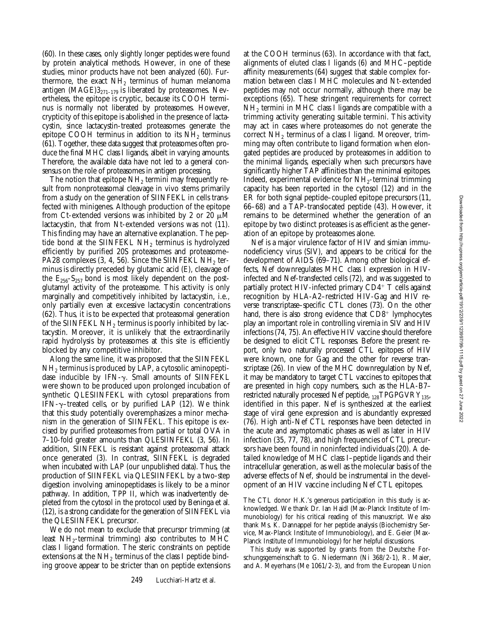(60). In these cases, only slightly longer peptides were found by protein analytical methods. However, in one of these studies, minor products have not been analyzed (60). Furthermore, the exact  $NH<sub>2</sub>$  terminus of human melanoma antigen (MAGE) $3_{271-179}$  is liberated by proteasomes. Nevertheless, the epitope is cryptic, because its COOH terminus is normally not liberated by proteasomes. However, crypticity of this epitope is abolished in the presence of lactacystin, since lactacystin-treated proteasomes generate the epitope COOH terminus in addition to its  $NH<sub>2</sub>$  terminus (61). Together, these data suggest that proteasomes often produce the final MHC class I ligands, albeit in varying amounts. Therefore, the available data have not led to a general consensus on the role of proteasomes in antigen processing.

The notion that epitope  $NH<sub>2</sub>$  termini may frequently result from nonproteasomal cleavage in vivo stems primarily from a study on the generation of SIINFEKL in cells transfected with minigenes. Although production of the epitope from Ct-extended versions was inhibited by 2 or 20  $\mu$ M lactacystin, that from Nt-extended versions was not (11). This finding may have an alternative explanation. The peptide bond at the SIINFEKL NH<sub>2</sub> terminus is hydrolyzed efficiently by purified 20S proteasomes and proteasome– PA28 complexes  $(3, 4, 56)$ . Since the SIINFEKL NH<sub>2</sub> terminus is directly preceded by glutamic acid (E), cleavage of the  $E_{256}$ -S<sub>257</sub> bond is most likely dependent on the postglutamyl activity of the proteasome. This activity is only marginally and competitively inhibited by lactacystin, i.e., only partially even at excessive lactacystin concentrations (62). Thus, it is to be expected that proteasomal generation of the SIINFEKL NH<sub>2</sub> terminus is poorly inhibited by lactacystin. Moreover, it is unlikely that the extraordinarily rapid hydrolysis by proteasomes at this site is efficiently blocked by any competitive inhibitor.

Along the same line, it was proposed that the SIINFEKL NH2 terminus is produced by LAP, a cytosolic aminopeptidase inducible by IFN- $\gamma$ . Small amounts of SIINFEKL were shown to be produced upon prolonged incubation of synthetic QLESIINFEKL with cytosol preparations from IFN- $\gamma$ -treated cells, or by purified LAP (12). We think that this study potentially overemphasizes a minor mechanism in the generation of SIINFEKL. This epitope is excised by purified proteasomes from partial or total OVA in 7–10-fold greater amounts than QLESIINFEKL (3, 56). In addition, SIINFEKL is resistant against proteasomal attack once generated (3). In contrast, SIINFEKL is degraded when incubated with LAP (our unpublished data). Thus, the production of SIINFEKL via QLESIINFEKL by a two-step digestion involving aminopeptidases is likely to be a minor pathway. In addition, TPP II, which was inadvertently depleted from the cytosol in the protocol used by Beninga et al. (12), is a strong candidate for the generation of SIINFEKL via the QLESIINFEKL precursor.

We do not mean to exclude that precursor trimming (at least  $NH_2$ -terminal trimming) also contributes to MHC class I ligand formation. The steric constraints on peptide extensions at the  $NH<sub>2</sub>$  terminus of the class I peptide binding groove appear to be stricter than on peptide extensions at the COOH terminus (63). In accordance with that fact, alignments of eluted class I ligands (6) and MHC–peptide affinity measurements (64) suggest that stable complex formation between class I MHC molecules and Nt-extended peptides may not occur normally, although there may be exceptions (65). These stringent requirements for correct  $NH<sub>2</sub>$  termini in MHC class I ligands are compatible with a trimming activity generating suitable termini. This activity may act in cases where proteasomes do not generate the correct  $NH<sub>2</sub>$  terminus of a class I ligand. Moreover, trimming may often contribute to ligand formation when elongated peptides are produced by proteasomes in addition to the minimal ligands, especially when such precursors have significantly higher TAP affinities than the minimal epitopes. Indeed, experimental evidence for  $NH<sub>2</sub>$ -terminal trimming capacity has been reported in the cytosol (12) and in the ER for both signal peptide–coupled epitope precursors (11, 66–68) and a TAP-translocated peptide (43). However, it remains to be determined whether the generation of an epitope by two distinct proteases is as efficient as the generation of an epitope by proteasomes alone.

Nef is a major virulence factor of HIV and simian immunodeficiency virus (SIV), and appears to be critical for the development of AIDS (69–71). Among other biological effects, Nef downregulates MHC class I expression in HIVinfected and Nef-transfected cells (72), and was suggested to partially protect HIV-infected primary  $CD4^+$  T cells against recognition by HLA-A2–restricted HIV-Gag and HIV reverse transcriptase–specific CTL clones (73). On the other hand, there is also strong evidence that  $CD8<sup>+</sup>$  lymphocytes play an important role in controlling viremia in SIV and HIV infections (74, 75). An effective HIV vaccine should therefore be designed to elicit CTL responses. Before the present report, only two naturally processed CTL epitopes of HIV were known, one for Gag and the other for reverse transcriptase (26). In view of the MHC downregulation by Nef, it may be mandatory to target CTL vaccines to epitopes that are presented in high copy numbers, such as the HLA-B7– restricted naturally processed Nef peptide, 128TPGPGVRY<sub>135</sub>, identified in this paper. Nef is synthesized at the earliest stage of viral gene expression and is abundantly expressed (76). High anti-Nef CTL responses have been detected in the acute and asymptomatic phases as well as later in HIV infection (35, 77, 78), and high frequencies of CTL precursors have been found in noninfected individuals (20). A detailed knowledge of MHC class I–peptide ligands and their intracellular generation, as well as the molecular basis of the adverse effects of Nef, should be instrumental in the development of an HIV vaccine including Nef CTL epitopes.

The CTL donor H.K.'s generous participation in this study is acknowledged. We thank Dr. Ian Haidl (Max-Planck Institute of Immunobiology) for his critical reading of this manuscript. We also thank Ms. K. Dannappel for her peptide analysis (Biochemistry Service, Max-Planck Institute of Immunobiology), and E. Geier (Max-Planck Institute of Immunobiology) for her helpful discussions.

This study was supported by grants from the Deutsche Forschungsgemeinschaft to G. Niedermann (Ni 368/2-1), R. Maier, and A. Meyerhans (Me 1061/2-3), and from the European Union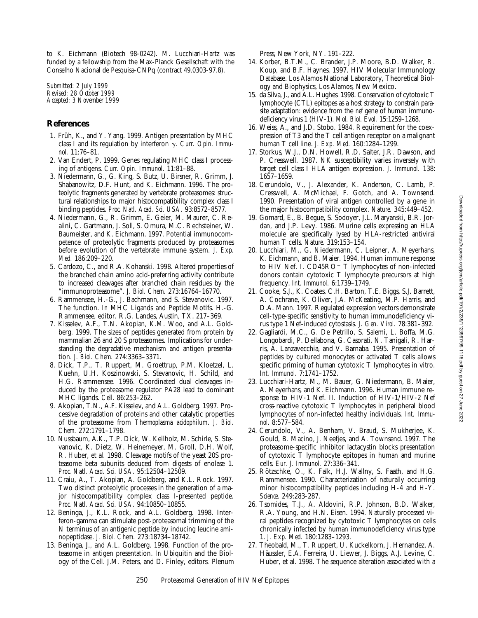to K. Eichmann (Biotech 98-0242). M. Lucchiari-Hartz was funded by a fellowship from the Max-Planck Gesellschaft with the Conselho Nacional de Pesquisa-CNPq (contract 49.0303-97.8).

*Submitted: 2 July 1999 Revised: 28 October 1999 Accepted: 3 November 1999*

## **References**

- 1. Früh, K., and Y. Yang. 1999. Antigen presentation by MHC class I and its regulation by interferon g. *Curr. Opin. Immunol.* 11:76–81.
- 2. Van Endert, P. 1999. Genes regulating MHC class I processing of antigens. *Curr. Opin. Immunol.* 11:81–88.
- 3. Niedermann, G., G. King, S. Butz, U. Birsner, R. Grimm, J. Shabanowitz, D.F. Hunt, and K. Eichmann. 1996. The proteolytic fragments generated by vertebrate proteasomes: structural relationships to major histocompatibility complex class I binding peptides. *Proc. Natl. Acad. Sci. USA.* 93:8572–8577.
- 4. Niedermann, G., R. Grimm, E. Geier, M. Maurer, C. Realini, C. Gartmann, J. Soll, S. Omura, M.C. Rechsteiner, W. Baumeister, and K. Eichmann. 1997. Potential immunocompetence of proteolytic fragments produced by proteasomes before evolution of the vertebrate immune system. *J. Exp. Med.* 186:209–220.
- 5. Cardozo, C., and R.A. Kohanski. 1998. Altered properties of the branched chain amino acid-preferring activity contribute to increased cleavages after branched chain residues by the "immunoproteasome". *J. Biol. Chem.* 273:16764–16770.
- 6. Rammensee, H.-G., J. Bachmann, and S. Stevanovic. 1997. The function. *In* MHC Ligands and Peptide Motifs. H.-G. Rammensee, editor. R.G. Landes, Austin, TX. 217–369.
- 7. Kisselev, A.F., T.N. Akopian, K.M. Woo, and A.L. Goldberg. 1999. The sizes of peptides generated from protein by mammalian 26 and 20 S proteasomes. Implications for understanding the degradative mechanism and antigen presentation. *J. Biol. Chem.* 274:3363–3371.
- 8. Dick, T.P., T. Ruppert, M. Groettrup, P.M. Kloetzel, L. Kuehn, U.H. Koszinowski, S. Stevanovic, H. Schild, and H.G. Rammensee. 1996. Coordinated dual cleavages induced by the proteasome regulator PA28 lead to dominant MHC ligands. *Cell.* 86:253–262.
- 9. Akopian, T.N., A.F. Kisselev, and A.L. Goldberg. 1997. Processive degradation of proteins and other catalytic properties of the proteasome from *Thermoplasma acidophilum*. *J. Biol. Chem.* 272:1791–1798.
- 10. Nussbaum, A.K., T.P. Dick, W. Keilholz, M. Schirle, S. Stevanovic, K. Dietz, W. Heinemeyer, M. Groll, D.H. Wolf, R. Huber, et al. 1998. Cleavage motifs of the yeast 20S proteasome beta subunits deduced from digests of enolase 1. *Proc. Natl. Acad. Sci. USA.* 95:12504–12509.
- 11. Craiu, A., T. Akopian, A. Goldberg, and K.L. Rock. 1997. Two distinct proteolytic processes in the generation of a major histocompatibility complex class I-presented peptide. *Proc. Natl. Acad. Sci. USA.* 94:10850–10855.
- 12. Beninga, J., K.L. Rock, and A.L. Goldberg. 1998. Interferon-gamma can stimulate post-proteasomal trimming of the N terminus of an antigenic peptide by inducing leucine aminopeptidase. *J. Biol. Chem.* 273:18734–18742.
- 13. Beninga, J., and A.L. Goldberg. 1998. Function of the proteasome in antigen presentation. *In* Ubiquitin and the Biology of the Cell. J.M. Peters, and D. Finley, editors. Plenum

Press, New York, NY. 191–222.

- 14. Korber, B.T.M., C. Brander, J.P. Moore, B.D. Walker, R. Koup, and B.F. Haynes. 1997. HIV Molecular Immunology Database. Los Alamos National Laboratory, Theoretical Biology and Biophysics, Los Alamos, New Mexico.
- 15. da Silva, J., and A.L. Hughes. 1998. Conservation of cytotoxic T lymphocyte (CTL) epitopes as a host strategy to constrain parasite adaptation: evidence from the *nef* gene of human immunodeficiency virus 1 (HIV-1). *Mol. Biol. Evol.* 15:1259–1268.
- 16. Weiss, A., and J.D. Stobo. 1984. Requirement for the coexpression of T3 and the T cell antigen receptor on a malignant human T cell line. *J. Exp. Med.* 160:1284–1299.
- 17. Storkus, W.J., D.N. Howell, R.D. Salter, J.R. Dawson, and P. Cresswell. 1987. NK susceptibility varies inversely with target cell class I HLA antigen expression. *J. Immunol.* 138: 1657–1659.
- 18. Cerundolo, V., J. Alexander, K. Anderson, C. Lamb, P. Cresswell, A. McMichael, F. Gotch, and A. Townsend. 1990. Presentation of viral antigen controlled by a gene in the major histocompatibility complex. *Nature.* 345:449–452.
- 19. Gomard, E., B. Begue, S. Sodoyer, J.L. Maryanski, B.R. Jordan, and J.P. Levy. 1986. Murine cells expressing an HLA molecule are specifically lysed by HLA-restricted antiviral human T cells. *Nature.* 319:153–154.
- 20. Lucchiari, M., G. Niedermann, C. Leipner, A. Meyerhans, K. Eichmann, and B. Maier. 1994. Human immune response to HIV Nef. I. CD45RO<sup>-</sup> T lymphocytes of non-infected donors contain cytotoxic T lymphocyte precursors at high frequency. *Int. Immunol.* 6:1739–1749.
- 21. Cooke, S.J., K. Coates, C.H. Barton, T.E. Biggs, S.J. Barrett, A. Cochrane, K. Oliver, J.A. McKeating, M.P. Harris, and D.A. Mann. 1997. Regulated expression vectors demonstrate cell-type-specific sensitivity to human immunodeficiency virus type 1 Nef-induced cytostasis. *J. Gen. Virol.* 78:381–392.
- 22. Gagliardi, M.C., G. De Petrillo, S. Salemi, L. Boffa, M.G. Longobardi, P. Dellabona, G. Casorati, N. Tanigali, R. Harris, A. Lanzavecchia, and V. Barnaba. 1995. Presentation of peptides by cultured monocytes or activated T cells allows specific priming of human cytotoxic T lymphocytes in vitro. *Int. Immunol.* 7:1741–1752.
- 23. Lucchiari-Hartz, M., M. Bauer, G. Niedermann, B. Maier, A. Meyerhans, and K. Eichmann. 1996. Human immune response to HIV-1 Nef. II. Induction of HIV-1/HIV-2 Nef cross-reactive cytotoxic T lymphocytes in peripheral blood lymphocytes of non-infected healthy individuals. *Int. Immunol.* 8:577–584.
- 24. Cerundolo, V., A. Benham, V. Braud, S. Mukherjee, K. Gould, B. Macino, J. Neefjes, and A. Townsend. 1997. The proteasome-specific inhibitor lactacystin blocks presentation of cytotoxic T lymphocyte epitopes in human and murine cells. *Eur. J. Immunol.* 27:336–341.
- 25. Rötzschke, O., K. Falk, H.J. Wallny, S. Faath, and H.G. Rammensee. 1990. Characterization of naturally occurring minor histocompatibility peptides including H-4 and H-Y. *Science.* 249:283-287.
- 26. Tsomides, T.J., A. Aldovini, R.P. Johnson, B.D. Walker, R.A. Young, and H.N. Eisen. 1994. Naturally processed viral peptides recognized by cytotoxic T lymphocytes on cells chronically infected by human immunodeficiency virus type 1. *J. Exp. Med.* 180:1283–1293.
- 27. Theobald, M., T. Ruppert, U. Kuckelkorn, J. Hernandez, A. Häussler, E.A. Ferreira, U. Liewer, J. Biggs, A.J. Levine, C. Huber, et al. 1998. The sequence alteration associated with a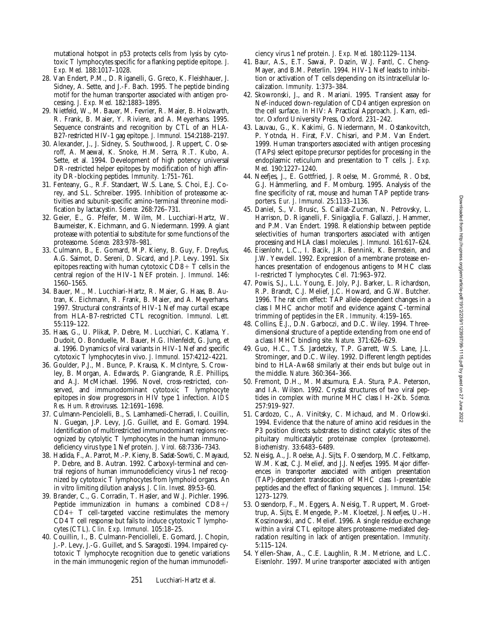mutational hotspot in p53 protects cells from lysis by cytotoxic T lymphocytes specific for a flanking peptide epitope. *J. Exp. Med.* 188:1017–1028.

- 28. Van Endert, P.M., D. Riganelli, G. Greco, K. Fleishhauer, J. Sidney, A. Sette, and J.-F. Bach. 1995. The peptide binding motif for the human transporter associated with antigen processing. *J. Exp. Med.* 182:1883–1895.
- 29. Nietfeld, W., M. Bauer, M. Fevrier, R. Maier, B. Holzwarth, R. Frank, B. Maier, Y. Riviere, and A. Meyerhans. 1995. Sequence constraints and recognition by CTL of an HLA-B27-restricted HIV-1 gag epitope. *J. Immunol.* 154:2188–2197.
- 30. Alexander, J., J. Sidney, S. Southwood, J. Ruppert, C. Oseroff, A. Maewal, K. Snoke, H.M. Serra, R.T. Kubo, A. Sette, et al. 1994. Development of high potency universal DR-restricted helper epitopes by modification of high affinity DR-blocking peptides. *Immunity.* 1:751–761.
- 31. Fenteany, G., R.F. Standaert, W.S. Lane, S. Choi, E.J. Corey, and S.L. Schreiber. 1995. Inhibition of proteasome activities and subunit-specific amino-terminal threonine modification by lactacystin. *Science.* 268:726–731.
- 32. Geier, E., G. Pfeifer, M. Wilm, M. Lucchiari-Hartz, W. Baumeister, K. Eichmann, and G. Niedermann. 1999. A giant protease with potential to substitute for some functions of the proteasome. *Science.* 283:978–981.
- 33. Culmann, B., E. Gomard, M.P. Kieny, B. Guy, F. Dreyfus, A.G. Saimot, D. Sereni, D. Sicard, and J.P. Levy. 1991. Six epitopes reacting with human cytotoxic  $CD8+T$  cells in the central region of the HIV-1 NEF protein. *J. Immunol.* 146: 1560–1565.
- 34. Bauer, M., M. Lucchiari-Hartz, R. Maier, G. Haas, B. Autran, K. Eichmann, R. Frank, B. Maier, and A. Meyerhans. 1997. Structural constraints of HIV-1 Nef may curtail escape from HLA-B7-restricted CTL recognition. *Immunol. Lett.* 55:119–122.
- 35. Haas, G., U. Plikat, P. Debre, M. Lucchiari, C. Katlama, Y. Dudoit, O. Bonduelle, M. Bauer, H.G. Ihlenfeldt, G. Jung, et al. 1996. Dynamics of viral variants in HIV-1 Nef and specific cytotoxic T lymphocytes in vivo. *J. Immunol.* 157:4212–4221.
- 36. Goulder, P.J., M. Bunce, P. Krausa, K. McIntyre, S. Crowley, B. Morgan, A. Edwards, P. Giangrande, R.E. Phillips, and A.J. McMichael. 1996. Novel, cross-restricted, conserved, and immunodominant cytotoxic T lymphocyte epitopes in slow progressors in HIV type 1 infection. *AIDS Res. Hum. Retroviruses.* 12:1691–1698.
- 37. Culmann-Penciolelli, B., S. Lamhamedi-Cherradi, I. Couillin, N. Guegan, J.P. Levy, J.G. Guillet, and E. Gomard. 1994. Identification of multirestricted immunodominant regions recognized by cytolytic T lymphocytes in the human immunodeficiency virus type 1 Nef protein. *J. Virol.* 68:7336–7343.
- 38. Hadida, F., A. Parrot, M.-P. Kieny, B. Sadat-Sowti, C. Mayaud, P. Debre, and B. Autran. 1992. Carboxyl-terminal and central regions of human immunodeficiency virus-1 nef recognized by cytotoxic T lymphocytes from lymphoid organs. An in vitro limiting dilution analysis. *J. Clin. Invest.* 89:53–60.
- 39. Brander, C., G. Corradin, T. Hasler, and W.J. Pichler. 1996. Peptide immunization in humans: a combined  $CD8+/$  $CD4+T$  cell-targeted vaccine restimulates the memory CD4 T cell response but fails to induce cytotoxic T lymphocytes (CTL). *Clin. Exp. Immunol.* 105:18–25.
- 40. Couillin, I., B. Culmann-Penciolleli, E. Gomard, J. Chopin, J.-P. Levy, J.-G. Guillet, and S. Saragosti. 1994. Impaired cytotoxic T lymphocyte recognition due to genetic variations in the main immunogenic region of the human immunodefi-

ciency virus 1 nef protein. *J. Exp. Med.* 180:1129–1134.

- 41. Baur, A.S., E.T. Sawai, P. Dazin, W.J. Fantl, C. Cheng-Mayer, and B.M. Peterlin. 1994. HIV-1 Nef leads to inhibition or activation of T cells depending on its intracellular localization. *Immunity.* 1:373–384.
- 42. Skowronski, J., and R. Mariani. 1995. Transient assay for Nef-induced down-regulation of CD4 antigen expression on the cell surface. *In* HIV: A Practical Approach. J. Karn, editor. Oxford University Press, Oxford. 231–242.
- 43. Lauvau, G., K. Kakimi, G. Niedermann, M. Ostankovitch, P. Yotnda, H. Firat, F.V. Chisari, and P.M. Van Endert. 1999. Human transporters associated with antigen processing (TAPs) select epitope precursor peptides for processing in the endoplasmic reticulum and presentation to T cells. *J. Exp. Med.* 190:1227–1240.
- 44. Neefjes, J., E. Gottfried, J. Roelse, M. Grommé, R. Obst, G.J. Hämmerling, and F. Momburg. 1995. Analysis of the fine specificity of rat, mouse and human TAP peptide transporters. *Eur. J. Immunol.* 25:1133–1136.
- 45. Daniel, S., V. Brusic, S. Caillat-Zucman, N. Petrovsky, L. Harrison, D. Riganelli, F. Sinigaglia, F. Gallazzi, J. Hammer, and P.M. Van Endert. 1998. Relationship between peptide selectivities of human transporters associated with antigen processing and HLA class I molecules. *J. Immunol.* 161:617–624.
- 46. Eisenlohr, L.C., I. Bacik, J.R. Bennink, K. Bernstein, and J.W. Yewdell. 1992. Expression of a membrane protease enhances presentation of endogenous antigens to MHC class I-restricted T lymphocytes. *Cell.* 71:963–972.
- 47. Powis, S.J., L.L. Young, E. Joly, P.J. Barker, L. Richardson, R.P. Brandt, C.J. Melief, J.C. Howard, and G.W. Butcher. 1996. The rat cim effect: TAP allele-dependent changes in a class I MHC anchor motif and evidence against C-terminal trimming of peptides in the ER. *Immunity.* 4:159–165.
- 48. Collins, E.J., D.N. Garboczi, and D.C. Wiley. 1994. Threedimensional structure of a peptide extending from one end of a class I MHC binding site. *Nature.* 371:626–629.
- 49. Guo, H.C., T.S. Jardetzky, T.P. Garrett, W.S. Lane, J.L. Strominger, and D.C. Wiley. 1992. Different length peptides bind to HLA-Aw68 similarly at their ends but bulge out in the middle. *Nature.* 360:364–366.
- 50. Fremont, D.H., M. Matsumura, E.A. Stura, P.A. Peterson, and I.A. Wilson. 1992. Crystal structures of two viral peptides in complex with murine MHC class I H-2Kb. *Science.* 257:919–927.
- 51. Cardozo, C., A. Vinitsky, C. Michaud, and M. Orlowski. 1994. Evidence that the nature of amino acid residues in the P3 position directs substrates to distinct catalytic sites of the pituitary multicatalytic proteinase complex (proteasome). *Biochemistry.* 33:6483–6489.
- 52. Neisig, A., J. Roelse, A.J. Sijts, F. Ossendorp, M.C. Feltkamp, W.M. Kast, C.J. Melief, and J.J. Neefjes. 1995. Major differences in transporter associated with antigen presentation (TAP)-dependent translocation of MHC class I-presentable peptides and the effect of flanking sequences. *J. Immunol.* 154: 1273–1279.
- 53. Ossendorp, F., M. Eggers, A. Neisig, T. Ruppert, M. Groettrup, A. Sijts, E. Mengede, P.-M. Kloetzel, J. Neefjes, U.-H. Koszinowski, and C. Melief. 1996. A single residue exchange within a viral CTL epitope alters proteasome-mediated degradation resulting in lack of antigen presentation. *Immunity.* 5:115–124.
- 54. Yellen-Shaw, A., C.E. Laughlin, R.M. Metrione, and L.C. Eisenlohr. 1997. Murine transporter associated with antigen